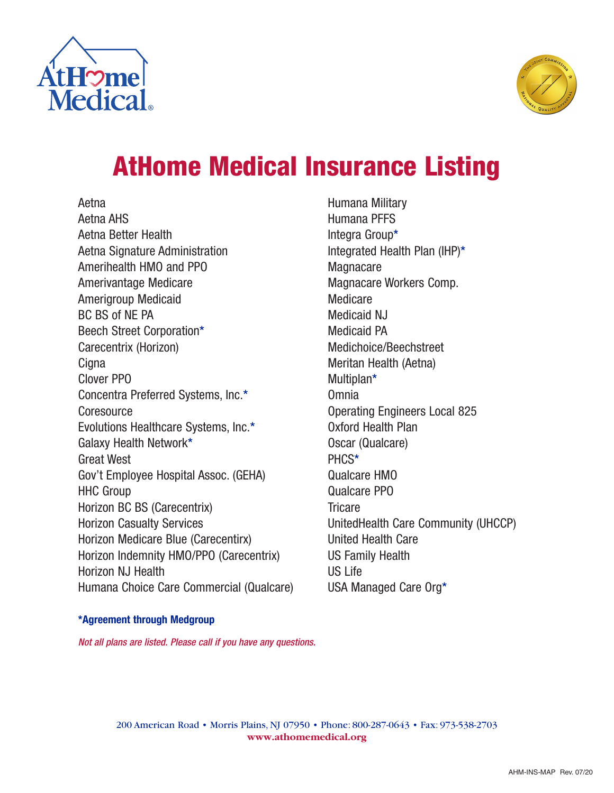



# **AtHome Medical Insurance Listing**

Aetna Aetna AHS Aetna Better Health Aetna Signature Administration Amerihealth HMO and PPO Amerivantage Medicare Amerigroup Medicaid BC BS of NE PA Beech Street Corporation\* Carecentrix (Horizon) **Cigna** Clover PPO Concentra Preferred Systems, Inc.\* **Coresource** Evolutions Healthcare Systems, Inc.\* Galaxy Health Network\* Great West Gov't Employee Hospital Assoc. (GEHA) HHC Group Horizon BC BS (Carecentrix) Horizon Casualty Services Horizon Medicare Blue (Carecentirx) Horizon Indemnity HMO/PPO (Carecentrix) Horizon NJ Health Humana Choice Care Commercial (Qualcare) Humana Military Humana PFFS Integra Group\* Integrated Health Plan (IHP)\* Magnacare Magnacare Workers Comp. Medicare Medicaid NJ Medicaid PA Medichoice/Beechstreet Meritan Health (Aetna) Multiplan\* Omnia Operating Engineers Local 825 Oxford Health Plan Oscar (Qualcare) PHCS\* Qualcare HMO Qualcare PPO **Tricare** UnitedHealth Care Community (UHCCP) United Health Care US Family Health US Life USA Managed Care Org\*

#### **\*Agreement through Medgroup**

Not all plans are listed. Please call if you have any questions.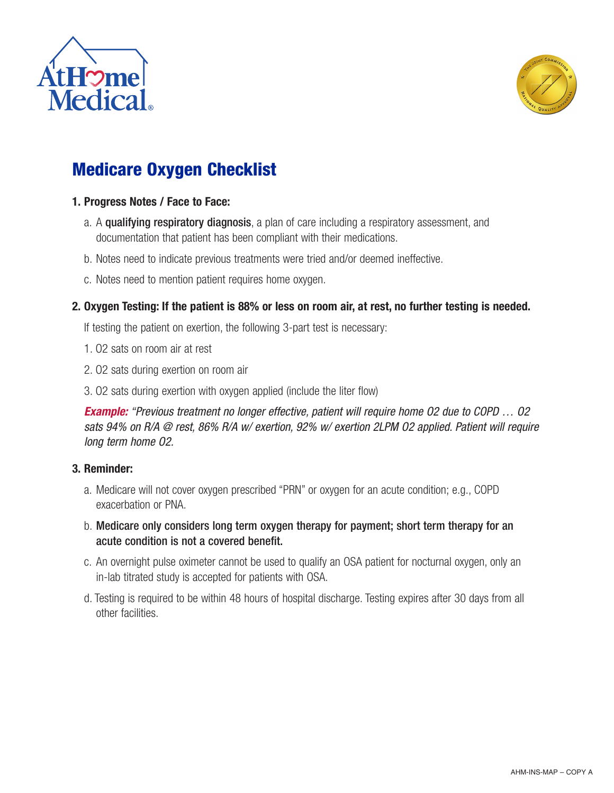



# **Medicare Oxygen Checklist**

#### **1. Progress Notes / Face to Face:**

- a. A qualifying respiratory diagnosis, a plan of care including a respiratory assessment, and documentation that patient has been compliant with their medications.
- b. Notes need to indicate previous treatments were tried and/or deemed ineffective.
- c. Notes need to mention patient requires home oxygen.

#### **2. Oxygen Testing: If the patient is 88% or less on room air, at rest, no further testing is needed.**

If testing the patient on exertion, the following 3-part test is necessary:

- 1. O2 sats on room air at rest
- 2. O2 sats during exertion on room air
- 3. O2 sats during exertion with oxygen applied (include the liter flow)

**Example:** "Previous treatment no longer effective, patient will require home O2 due to COPD … O2 sats 94% on R/A @ rest, 86% R/A w/ exertion, 92% w/ exertion 2LPM O2 applied. Patient will require long term home O2.

#### **3. Reminder:**

- a. Medicare will not cover oxygen prescribed "PRN" or oxygen for an acute condition; e.g., COPD exacerbation or PNA.
- b. Medicare only considers long term oxygen therapy for payment; short term therapy for an acute condition is not a covered benefit.
- c. An overnight pulse oximeter cannot be used to qualify an OSA patient for nocturnal oxygen, only an in-lab titrated study is accepted for patients with OSA.
- d. Testing is required to be within 48 hours of hospital discharge. Testing expires after 30 days from all other facilities.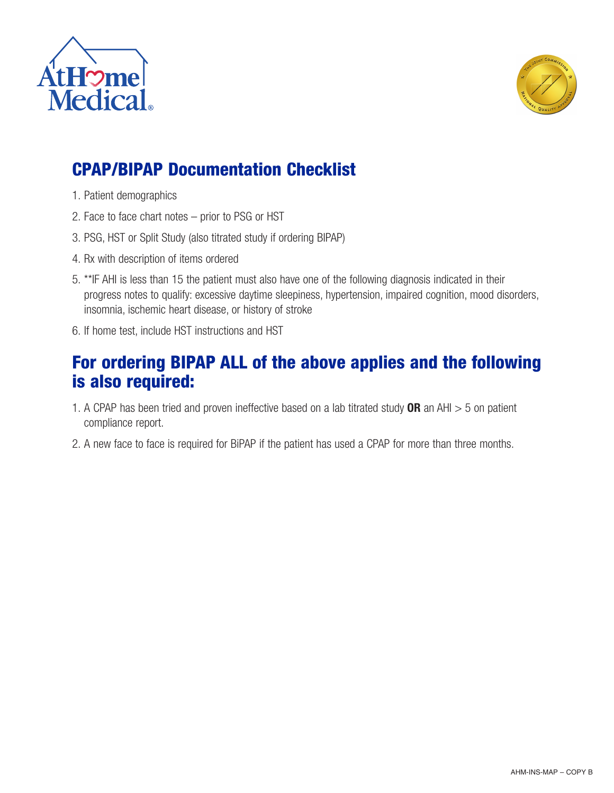



## **CPAP/BIPAP Documentation Checklist**

- 1. Patient demographics
- 2. Face to face chart notes prior to PSG or HST
- 3. PSG, HST or Split Study (also titrated study if ordering BIPAP)
- 4. Rx with description of items ordered
- 5. \*\*IF AHI is less than 15 the patient must also have one of the following diagnosis indicated in their progress notes to qualify: excessive daytime sleepiness, hypertension, impaired cognition, mood disorders, insomnia, ischemic heart disease, or history of stroke
- 6. If home test, include HST instructions and HST

### **For ordering BIPAP ALL of the above applies and the following is also required:**

- 1. A CPAP has been tried and proven ineffective based on a lab titrated study **OR** an AHI > 5 on patient compliance report.
- 2. A new face to face is required for BiPAP if the patient has used a CPAP for more than three months.